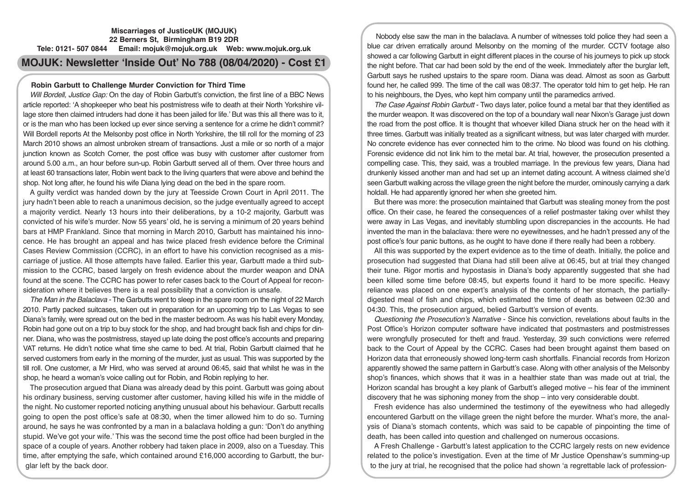# **Miscarriages of JusticeUK (MOJUK) 22 Berners St, Birmingham B19 2DR Tele: 0121- 507 0844 Email: mojuk@mojuk.org.uk Web: www.mojuk.org.uk**

# **MOJUK: Newsletter 'Inside Out' No 788 (08/04/2020) - Cost £1**

# **Robin Garbutt to Challenge Murder Conviction for Third Time**

*Will Bordell, Justice Gap:* On the day of Robin Garbutt's conviction, the first line of a BBC News article reported: 'A shopkeeper who beat his postmistress wife to death at their North Yorkshire village store then claimed intruders had done it has been jailed for life.' But was this all there was to it, or is the man who has been locked up ever since serving a sentence for a crime he didn't commit? Will Bordell reports At the Melsonby post office in North Yorkshire, the till roll for the morning of 23 March 2010 shows an almost unbroken stream of transactions. Just a mile or so north of a major junction known as Scotch Corner, the post office was busy with customer after customer from around 5.00 a.m., an hour before sun-up. Robin Garbutt served all of them. Over three hours and at least 60 transactions later, Robin went back to the living quarters that were above and behind the shop. Not long after, he found his wife Diana lying dead on the bed in the spare room.

A guilty verdict was handed down by the jury at Teesside Crown Court in April 2011. The jury hadn't been able to reach a unanimous decision, so the judge eventually agreed to accept a majority verdict. Nearly 13 hours into their deliberations, by a 10-2 majority, Garbutt was convicted of his wife's murder. Now 55 years' old, he is serving a minimum of 20 years behind bars at HMP Frankland. Since that morning in March 2010, Garbutt has maintained his innocence. He has brought an appeal and has twice placed fresh evidence before the Criminal Cases Review Commission (CCRC), in an effort to have his conviction recognised as a miscarriage of justice. All those attempts have failed. Earlier this year, Garbutt made a third submission to the CCRC, based largely on fresh evidence about the murder weapon and DNA found at the scene. The CCRC has power to refer cases back to the Court of Appeal for reconsideration where it believes there is a real possibility that a conviction is unsafe.

*The Man in the Balaclava -* The Garbutts went to sleep in the spare room on the night of 22 March 2010. Partly packed suitcases, taken out in preparation for an upcoming trip to Las Vegas to see Diana's family, were spread out on the bed in the master bedroom. As was his habit every Monday, Robin had gone out on a trip to buy stock for the shop, and had brought back fish and chips for dinner. Diana, who was the postmistress, stayed up late doing the post office's accounts and preparing VAT returns. He didn't notice what time she came to bed. At trial, Robin Garbutt claimed that he served customers from early in the morning of the murder, just as usual. This was supported by the till roll. One customer, a Mr Hird, who was served at around 06:45, said that whilst he was in the shop, he heard a woman's voice calling out for Robin, and Robin replying to her.

The prosecution argued that Diana was already dead by this point. Garbutt was going about his ordinary business, serving customer after customer, having killed his wife in the middle of the night. No customer reported noticing anything unusual about his behaviour. Garbutt recalls going to open the post office's safe at 08:30, when the timer allowed him to do so. Turning around, he says he was confronted by a man in a balaclava holding a gun: 'Don't do anything stupid. We've got your wife.' This was the second time the post office had been burgled in the space of a couple of years. Another robbery had taken place in 2009, also on a Tuesday. This time, after emptying the safe, which contained around £16,000 according to Garbutt, the burglar left by the back door.

Nobody else saw the man in the balaclava. A number of witnesses told police they had seen a blue car driven erratically around Melsonby on the morning of the murder. CCTV footage also showed a car following Garbutt in eight different places in the course of his journeys to pick up stock the night before. That car had been sold by the end of the week. Immediately after the burglar left, Garbutt says he rushed upstairs to the spare room. Diana was dead. Almost as soon as Garbutt found her, he called 999. The time of the call was 08:37. The operator told him to get help. He ran to his neighbours, the Dyes, who kept him company until the paramedics arrived.

*The Case Against Robin Garbutt* - Two days later, police found a metal bar that they identified as the murder weapon. It was discovered on the top of a boundary wall near Nixon's Garage just down the road from the post office. It is thought that whoever killed Diana struck her on the head with it three times. Garbutt was initially treated as a significant witness, but was later charged with murder. No concrete evidence has ever connected him to the crime. No blood was found on his clothing. Forensic evidence did not link him to the metal bar. At trial, however, the prosecution presented a compelling case. This, they said, was a troubled marriage. In the previous few years, Diana had drunkenly kissed another man and had set up an internet dating account. A witness claimed she'd seen Garbutt walking across the village green the night before the murder, ominously carrying a dark holdall. He had apparently ignored her when she greeted him.

But there was more: the prosecution maintained that Garbutt was stealing money from the post office. On their case, he feared the consequences of a relief postmaster taking over whilst they were away in Las Vegas, and inevitably stumbling upon discrepancies in the accounts. He had invented the man in the balaclava: there were no eyewitnesses, and he hadn't pressed any of the post office's four panic buttons, as he ought to have done if there really had been a robbery.

All this was supported by the expert evidence as to the time of death. Initially, the police and prosecution had suggested that Diana had still been alive at 06:45, but at trial they changed their tune. Rigor mortis and hypostasis in Diana's body apparently suggested that she had been killed some time before 08:45, but experts found it hard to be more specific. Heavy reliance was placed on one expert's analysis of the contents of her stomach, the partiallydigested meal of fish and chips, which estimated the time of death as between 02:30 and 04:30. This, the prosecution argued, belied Garbutt's version of events.

*Questioning the Prosecution's Narrative* - Since his conviction, revelations about faults in the Post Office's Horizon computer software have indicated that postmasters and postmistresses were wrongfully prosecuted for theft and fraud. Yesterday, 39 such convictions were referred back to the Court of Appeal by the CCRC. Cases had been brought against them based on Horizon data that erroneously showed long-term cash shortfalls. Financial records from Horizon apparently showed the same pattern in Garbutt's case. Along with other analysis of the Melsonby shop's finances, which shows that it was in a healthier state than was made out at trial, the Horizon scandal has brought a key plank of Garbutt's alleged motive – his fear of the imminent discovery that he was siphoning money from the shop – into very considerable doubt.

Fresh evidence has also undermined the testimony of the eyewitness who had allegedly encountered Garbutt on the village green the night before the murder. What's more, the analysis of Diana's stomach contents, which was said to be capable of pinpointing the time of death, has been called into question and challenged on numerous occasions.

A Fresh Challenge - Garbutt's latest application to the CCRC largely rests on new evidence related to the police's investigation. Even at the time of Mr Justice Openshaw's summing-up to the jury at trial, he recognised that the police had shown 'a regrettable lack of profession-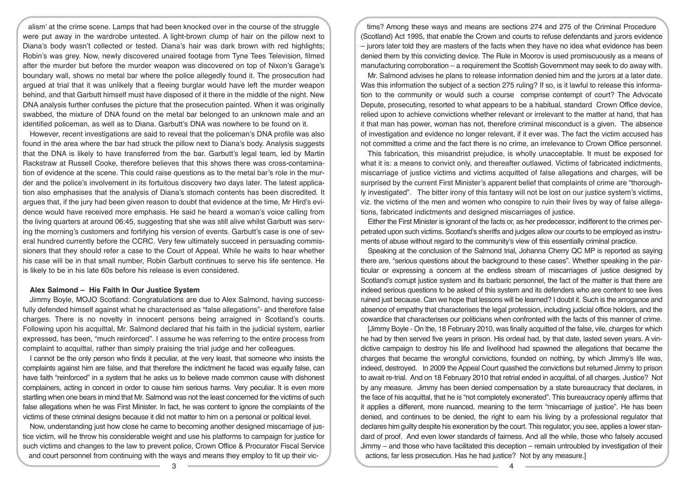alism' at the crime scene. Lamps that had been knocked over in the course of the struggle were put away in the wardrobe untested. A light-brown clump of hair on the pillow next to Diana's body wasn't collected or tested. Diana's hair was dark brown with red highlights; Robin's was grey. Now, newly discovered unaired footage from Tyne Tees Television, filmed after the murder but before the murder weapon was discovered on top of Nixon's Garage's boundary wall, shows no metal bar where the police allegedly found it. The prosecution had argued at trial that it was unlikely that a fleeing burglar would have left the murder weapon behind, and that Garbutt himself must have disposed of it there in the middle of the night. New DNA analysis further confuses the picture that the prosecution painted. When it was originally swabbed, the mixture of DNA found on the metal bar belonged to an unknown male and an identified policeman, as well as to Diana. Garbutt's DNA was nowhere to be found on it.

However, recent investigations are said to reveal that the policeman's DNA profile was also found in the area where the bar had struck the pillow next to Diana's body. Analysis suggests that the DNA is likely to have transferred from the bar. Garbutt's legal team, led by Martin Rackstraw at Russell Cooke, therefore believes that this shows there was cross-contamination of evidence at the scene. This could raise questions as to the metal bar's role in the murder and the police's involvement in its fortuitous discovery two days later. The latest application also emphasises that the analysis of Diana's stomach contents has been discredited. It argues that, if the jury had been given reason to doubt that evidence at the time, Mr Hird's evidence would have received more emphasis. He said he heard a woman's voice calling from the living quarters at around 06:45, suggesting that she was still alive whilst Garbutt was serving the morning's customers and fortifying his version of events. Garbutt's case is one of several hundred currently before the CCRC. Very few ultimately succeed in persuading commissioners that they should refer a case to the Court of Appeal. While he waits to hear whether his case will be in that small number, Robin Garbutt continues to serve his life sentence. He is likely to be in his late 60s before his release is even considered.

#### **Alex Salmond – His Faith In Our Justice System**

Jimmy Boyle, MOJO Scotland: Congratulations are due to Alex Salmond, having successfully defended himself against what he characterised as "false allegations"- and therefore false charges. There is no novelty in innocent persons being arraigned in Scotland's courts. Following upon his acquittal, Mr. Salmond declared that his faith in the judicial system, earlier expressed, has been, "much reinforced". I assume he was referring to the entire process from complaint to acquittal, rather than simply praising the trial judge and her colleagues.

I cannot be the only person who finds it peculiar, at the very least, that someone who insists the complaints against him are false, and that therefore the indictment he faced was equally false, can have faith "reinforced" in a system that he asks us to believe made common cause with dishonest complainers, acting in concert in order to cause him serious harms. Very peculiar. It is even more startling when one bears in mind that Mr. Salmond was not the least concerned for the victims of such false allegations when he was First Minister. In fact, he was content to ignore the complaints of the victims of these criminal designs because it did not matter to him on a personal or political level.

Now, understanding just how close he came to becoming another designed miscarriage of justice victim, will he throw his considerable weight and use his platforms to campaign for justice for such victims and changes to the law to prevent police, Crown Office & Procurator Fiscal Service and court personnel from continuing with the ways and means they employ to fit up their vic-

tims? Among these ways and means are sections 274 and 275 of the Criminal Procedure (Scotland) Act 1995, that enable the Crown and courts to refuse defendants and jurors evidence – jurors later told they are masters of the facts when they have no idea what evidence has been denied them by this convicting device. The Rule in Moorov is used promiscuously as a means of manufacturing corroboration – a requirement the Scottish Government may seek to do away with.

Mr. Salmond advises he plans to release information denied him and the jurors at a later date. Was this information the subject of a section 275 ruling? If so, is it lawful to release this information to the community or would such a course comprise contempt of court? The Advocate Depute, prosecuting, resorted to what appears to be a habitual, standard Crown Office device, relied upon to achieve convictions whether relevant or irrelevant to the matter at hand, that has it that man has power, woman has not, therefore criminal misconduct is a given. The absence of investigation and evidence no longer relevant, if it ever was. The fact the victim accused has not committed a crime and the fact there is no crime, an irrelevance to Crown Office personnel.

This fabrication, this misandrist prejudice, is wholly unacceptable. It must be exposed for what it is: a means to convict only, and thereafter outlawed. Victims of fabricated indictments, miscarriage of justice victims and victims acquitted of false allegations and charges, will be surprised by the current First Minister's apparent belief that complaints of crime are "thoroughly investigated". The bitter irony of this fantasy will not be lost on our justice system's victims, viz. the victims of the men and women who conspire to ruin their lives by way of false allegations, fabricated indictments and designed miscarriages of justice.

Either the First Minister is ignorant of the facts or, as her predecessor, indifferent to the crimes perpetrated upon such victims. Scotland's sheriffs and judges allow our courts to be employed as instruments of abuse without regard to the community's view of this essentially criminal practice.

Speaking at the conclusion of the Salmond trial, Johanna Cherry QC MP is reported as saying there are, "serious questions about the background to these cases". Whether speaking in the particular or expressing a concern at the endless stream of miscarriages of justice designed by Scotland's corrupt justice system and its barbaric personnel, the fact of the matter is that there are indeed serious questions to be asked of this system and its defenders who are content to see lives ruined just because. Can we hope that lessons will be learned? I doubt it. Such is the arrogance and absence of empathy that characterises the legal profession, including judicial office holders, and the cowardice that characterises our politicians when confronted with the facts of this manner of crime.

[Jimmy Boyle - On the, 18 February 2010, was finally acquitted of the false, vile, charges for which he had by then served five years in prison. His ordeal had, by that date, lasted seven years. A vindictive campaign to destroy his life and livelihood had spawned the allegations that became the charges that became the wrongful convictions, founded on nothing, by which Jimmy's life was, indeed, destroyed. In 2009 the Appeal Court quashed the convictions but returned Jimmy to prison to await re-trial. And on 18 February 2010 that retrial ended in acquittal, of all charges. Justice? Not by any measure. Jimmy has been denied compensation by a state bureaucracy that declares, in the face of his acquittal, that he is "not completely exonerated". This bureaucracy openly affirms that it applies a different, more nuanced, meaning to the term "miscarriage of justice". He has been denied, and continues to be denied, the right to earn his living by a professional regulator that declares him guilty despite his exoneration by the court. This regulator, you see, applies a lower standard of proof. And even lower standards of fairness. And all the while, those who falsely accused Jimmy – and those who have facilitated this deception – remain untroubled by investigation of their actions, far less prosecution. Has he had justice? Not by any measure.]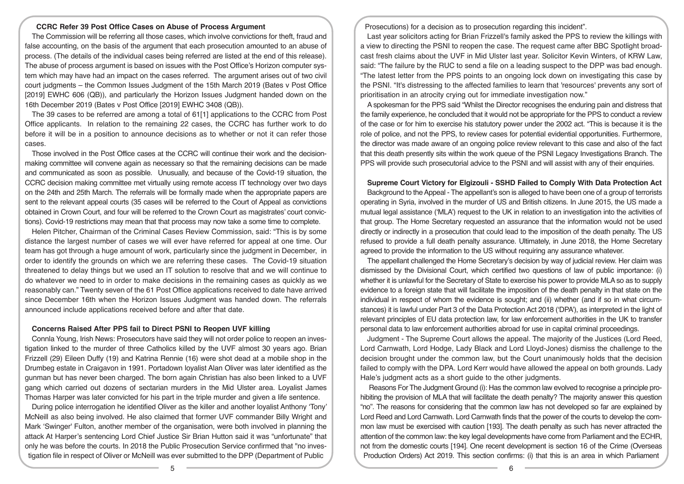# **CCRC Refer 39 Post Office Cases on Abuse of Process Argument**

The Commission will be referring all those cases, which involve convictions for theft, fraud and false accounting, on the basis of the argument that each prosecution amounted to an abuse of process. (The details of the individual cases being referred are listed at the end of this release). The abuse of process argument is based on issues with the Post Office's Horizon computer system which may have had an impact on the cases referred. The argument arises out of two civil court judgments – the Common Issues Judgment of the 15th March 2019 (Bates v Post Office [2019] EWHC 606 (QB)), and particularly the Horizon Issues Judgment handed down on the 16th December 2019 (Bates v Post Office [2019] EWHC 3408 (QB)).

The 39 cases to be referred are among a total of 61[1] applications to the CCRC from Post Office applicants. In relation to the remaining 22 cases, the CCRC has further work to do before it will be in a position to announce decisions as to whether or not it can refer those cases.

Those involved in the Post Office cases at the CCRC will continue their work and the decisionmaking committee will convene again as necessary so that the remaining decisions can be made and communicated as soon as possible. Unusually, and because of the Covid-19 situation, the CCRC decision making committee met virtually using remote access IT technology over two days on the 24th and 25th March. The referrals will be formally made when the appropriate papers are sent to the relevant appeal courts (35 cases will be referred to the Court of Appeal as convictions obtained in Crown Court, and four will be referred to the Crown Court as magistrates' court convictions). Covid-19 restrictions may mean that that process may now take a some time to complete.

Helen Pitcher, Chairman of the Criminal Cases Review Commission, said: "This is by some distance the largest number of cases we will ever have referred for appeal at one time. Our team has got through a huge amount of work, particularly since the judgment in December, in order to identify the grounds on which we are referring these cases. The Covid-19 situation threatened to delay things but we used an IT solution to resolve that and we will continue to do whatever we need to in order to make decisions in the remaining cases as quickly as we reasonably can." Twenty seven of the 61 Post Office applications received to date have arrived since December 16th when the Horizon Issues Judgment was handed down. The referrals announced include applications received before and after that date.

#### **Concerns Raised After PPS fail to Direct PSNI to Reopen UVF killing**

Connla Young, Irish News: Prosecutors have said they will not order police to reopen an investigation linked to the murder of three Catholics killed by the UVF almost 30 years ago. Brian Frizzell (29) Eileen Duffy (19) and Katrina Rennie (16) were shot dead at a mobile shop in the Drumbeg estate in Craigavon in 1991. Portadown loyalist Alan Oliver was later identified as the gunman but has never been charged. The born again Christian has also been linked to a UVF gang which carried out dozens of sectarian murders in the Mid Ulster area. Loyalist James Thomas Harper was later convicted for his part in the triple murder and given a life sentence.

During police interrogation he identified Oliver as the killer and another loyalist Anthony 'Tony' McNeill as also being involved. He also claimed that former UVF commander Billy Wright and Mark 'Swinger' Fulton, another member of the organisation, were both involved in planning the attack At Harper's sentencing Lord Chief Justice Sir Brian Hutton said it was "unfortunate" that only he was before the courts. In 2018 the Public Prosecution Service confirmed that "no investigation file in respect of Oliver or McNeill was ever submitted to the DPP (Department of Public

Prosecutions) for a decision as to prosecution regarding this incident".

Last year solicitors acting for Brian Frizzell's family asked the PPS to review the killings with a view to directing the PSNI to reopen the case. The request came after BBC Spotlight broadcast fresh claims about the UVF in Mid Ulster last year. Solicitor Kevin Winters, of KRW Law, said: "The failure by the RUC to send a file on a leading suspect to the DPP was bad enough. "The latest letter from the PPS points to an ongoing lock down on investigating this case by the PSNI. "It's distressing to the affected families to learn that 'resources' prevents any sort of prioritisation in an atrocity crying out for immediate investigation now."

A spokesman for the PPS said "Whilst the Director recognises the enduring pain and distress that the family experience, he concluded that it would not be appropriate for the PPS to conduct a review of the case or for him to exercise his statutory power under the 2002 act. "This is because it is the role of police, and not the PPS, to review cases for potential evidential opportunities. Furthermore, the director was made aware of an ongoing police review relevant to this case and also of the fact that this death presently sits within the work queue of the PSNI Legacy Investigations Branch. The PPS will provide such prosecutorial advice to the PSNI and will assist with any of their enquiries.

#### **Supreme Court Victory for Elgizouli - SSHD Failed to Comply With Data Protection Act**

Background to the Appeal - The appellant's son is alleged to have been one of a group of terrorists operating in Syria, involved in the murder of US and British citizens. In June 2015, the US made a mutual legal assistance ('MLA') request to the UK in relation to an investigation into the activities of that group. The Home Secretary requested an assurance that the information would not be used directly or indirectly in a prosecution that could lead to the imposition of the death penalty. The US refused to provide a full death penalty assurance. Ultimately, in June 2018, the Home Secretary agreed to provide the information to the US without requiring any assurance whatever.

The appellant challenged the Home Secretary's decision by way of judicial review. Her claim was dismissed by the Divisional Court, which certified two questions of law of public importance: (i) whether it is unlawful for the Secretary of State to exercise his power to provide MLA so as to supply evidence to a foreign state that will facilitate the imposition of the death penalty in that state on the individual in respect of whom the evidence is sought; and (ii) whether (and if so in what circumstances) it is lawful under Part 3 of the Data Protection Act 2018 ('DPA'), as interpreted in the light of relevant principles of EU data protection law, for law enforcement authorities in the UK to transfer personal data to law enforcement authorities abroad for use in capital criminal proceedings.

Judgment - The Supreme Court allows the appeal. The majority of the Justices (Lord Reed, Lord Carnwath, Lord Hodge, Lady Black and Lord Lloyd-Jones) dismiss the challenge to the decision brought under the common law, but the Court unanimously holds that the decision failed to comply with the DPA. Lord Kerr would have allowed the appeal on both grounds. Lady Hale's judgment acts as a short guide to the other judgments.

 Reasons For The Judgment Ground (i): Has the common law evolved to recognise a principle prohibiting the provision of MLA that will facilitate the death penalty? The majority answer this question "no". The reasons for considering that the common law has not developed so far are explained by Lord Reed and Lord Carnwath. Lord Carnwath finds that the power of the courts to develop the common law must be exercised with caution [193]. The death penalty as such has never attracted the attention of the common law: the key legal developments have come from Parliament and the ECHR, not from the domestic courts [194]. One recent development is section 16 of the Crime (Overseas Production Orders) Act 2019. This section confirms: (i) that this is an area in which Parliament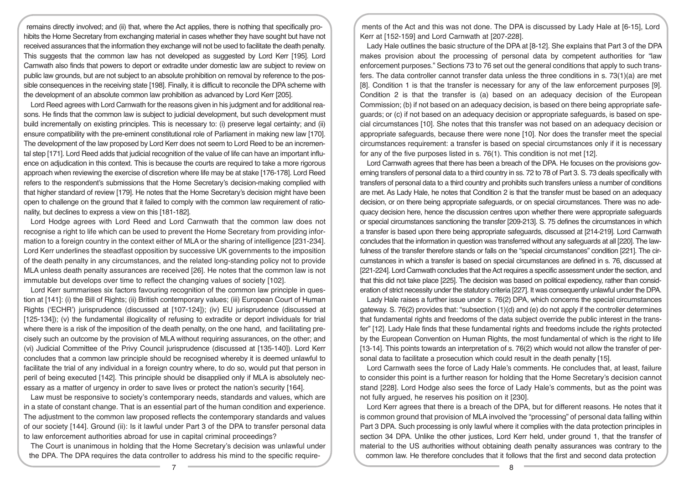remains directly involved; and (ii) that, where the Act applies, there is nothing that specifically prohibits the Home Secretary from exchanging material in cases whether they have sought but have not received assurances that the information they exchange will not be used to facilitate the death penalty. This suggests that the common law has not developed as suggested by Lord Kerr [195]. Lord Carnwath also finds that powers to deport or extradite under domestic law are subject to review on public law grounds, but are not subject to an absolute prohibition on removal by reference to the possible consequences in the receiving state [198]. Finally, it is difficult to reconcile the DPA scheme with the development of an absolute common law prohibition as advanced by Lord Kerr [205].

Lord Reed agrees with Lord Carnwath for the reasons given in his judgment and for additional reasons. He finds that the common law is subject to judicial development, but such development must build incrementally on existing principles. This is necessary to: (i) preserve legal certainty; and (ii) ensure compatibility with the pre-eminent constitutional role of Parliament in making new law [170]. The development of the law proposed by Lord Kerr does not seem to Lord Reed to be an incremental step [171]. Lord Reed adds that judicial recognition of the value of life can have an important influence on adjudication in this context. This is because the courts are required to take a more rigorous approach when reviewing the exercise of discretion where life may be at stake [176-178]. Lord Reed refers to the respondent's submissions that the Home Secretary's decision-making complied with that higher standard of review [179]. He notes that the Home Secretary's decision might have been open to challenge on the ground that it failed to comply with the common law requirement of rationality, but declines to express a view on this [181-182].

Lord Hodge agrees with Lord Reed and Lord Carnwath that the common law does not recognise a right to life which can be used to prevent the Home Secretary from providing information to a foreign country in the context either of MLA or the sharing of intelligence [231-234]. Lord Kerr underlines the steadfast opposition by successive UK governments to the imposition of the death penalty in any circumstances, and the related long-standing policy not to provide MLA unless death penalty assurances are received [26]. He notes that the common law is not immutable but develops over time to reflect the changing values of society [102].

Lord Kerr summarises six factors favouring recognition of the common law principle in question at [141]: (i) the Bill of Rights; (ii) British contemporary values; (iii) European Court of Human Rights ('ECHR') jurisprudence (discussed at [107-124]); (iv) EU jurisprudence (discussed at [125-134]); (v) the fundamental illogicality of refusing to extradite or deport individuals for trial where there is a risk of the imposition of the death penalty, on the one hand, and facilitating precisely such an outcome by the provision of MLA without requiring assurances, on the other; and (vi) Judicial Committee of the Privy Council jurisprudence (discussed at [135-140]). Lord Kerr concludes that a common law principle should be recognised whereby it is deemed unlawful to facilitate the trial of any individual in a foreign country where, to do so, would put that person in peril of being executed [142]. This principle should be disapplied only if MLA is absolutely necessary as a matter of urgency in order to save lives or protect the nation's security [164].

Law must be responsive to society's contemporary needs, standards and values, which are in a state of constant change. That is an essential part of the human condition and experience. The adjustment to the common law proposed reflects the contemporary standards and values of our society [144]. Ground (ii): Is it lawful under Part 3 of the DPA to transfer personal data to law enforcement authorities abroad for use in capital criminal proceedings?

The Court is unanimous in holding that the Home Secretary's decision was unlawful under the DPA. The DPA requires the data controller to address his mind to the specific require-

ments of the Act and this was not done. The DPA is discussed by Lady Hale at [6-15], Lord Kerr at [152-159] and Lord Carnwath at [207-228].

Lady Hale outlines the basic structure of the DPA at [8-12]. She explains that Part 3 of the DPA makes provision about the processing of personal data by competent authorities for "law enforcement purposes." Sections 73 to 76 set out the general conditions that apply to such transfers. The data controller cannot transfer data unless the three conditions in s. 73(1)(a) are met [8]. Condition 1 is that the transfer is necessary for any of the law enforcement purposes [9]. Condition 2 is that the transfer is (a) based on an adequacy decision of the European Commission; (b) if not based on an adequacy decision, is based on there being appropriate safeguards; or (c) if not based on an adequacy decision or appropriate safeguards, is based on special circumstances [10]. She notes that this transfer was not based on an adequacy decision or appropriate safeguards, because there were none [10]. Nor does the transfer meet the special circumstances requirement: a transfer is based on special circumstances only if it is necessary for any of the five purposes listed in s. 76(1). This condition is not met [12].

Lord Carnwath agrees that there has been a breach of the DPA. He focuses on the provisions governing transfers of personal data to a third country in ss. 72 to 78 of Part 3. S. 73 deals specifically with transfers of personal data to a third country and prohibits such transfers unless a number of conditions are met. As Lady Hale, he notes that Condition 2 is that the transfer must be based on an adequacy decision, or on there being appropriate safeguards, or on special circumstances. There was no adequacy decision here, hence the discussion centres upon whether there were appropriate safeguards or special circumstances sanctioning the transfer [209-213]. S. 75 defines the circumstances in which a transfer is based upon there being appropriate safeguards, discussed at [214-219]. Lord Carnwath concludes that the information in question was transferred without any safeguards at all [220]. The lawfulness of the transfer therefore stands or falls on the "special circumstances" condition [221]. The circumstances in which a transfer is based on special circumstances are defined in s. 76, discussed at [221-224]. Lord Carnwath concludes that the Act requires a specific assessment under the section, and that this did not take place [225]. The decision was based on political expediency, rather than consideration of strict necessity under the statutory criteria [227]. It was consequently unlawful under the DPA.

Lady Hale raises a further issue under s. 76(2) DPA, which concerns the special circumstances gateway. S. 76(2) provides that: "subsection (1)(d) and (e) do not apply if the controller determines that fundamental rights and freedoms of the data subject override the public interest in the transfer" [12]. Lady Hale finds that these fundamental rights and freedoms include the rights protected by the European Convention on Human Rights, the most fundamental of which is the right to life [13-14]. This points towards an interpretation of s. 76(2) which would not allow the transfer of personal data to facilitate a prosecution which could result in the death penalty [15].

Lord Carnwath sees the force of Lady Hale's comments. He concludes that, at least, failure to consider this point is a further reason for holding that the Home Secretary's decision cannot stand [228]. Lord Hodge also sees the force of Lady Hale's comments, but as the point was not fully argued, he reserves his position on it [230].

Lord Kerr agrees that there is a breach of the DPA, but for different reasons. He notes that it is common ground that provision of MLA involved the "processing" of personal data falling within Part 3 DPA. Such processing is only lawful where it complies with the data protection principles in section 34 DPA. Unlike the other justices, Lord Kerr held, under ground 1, that the transfer of material to the US authorities without obtaining death penalty assurances was contrary to the common law. He therefore concludes that it follows that the first and second data protection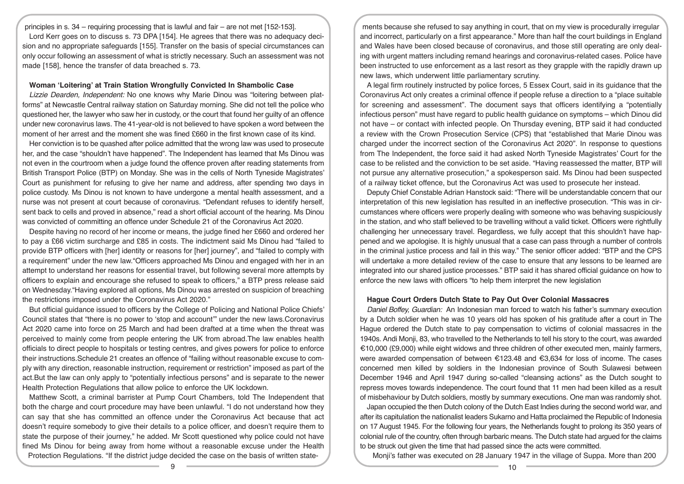principles in s. 34 – requiring processing that is lawful and fair – are not met [152-153]. Lord Kerr goes on to discuss s. 73 DPA [154]. He agrees that there was no adequacy decision and no appropriate safeguards [155]. Transfer on the basis of special circumstances can only occur following an assessment of what is strictly necessary. Such an assessment was not made [158], hence the transfer of data breached s. 73.

# **Woman 'Loitering' at Train Station Wrongfully Convicted In Shambolic Case**

*Lizzie Dearden, Independent:* No one knows why Marie Dinou was "loitering between platforms" at Newcastle Central railway station on Saturday morning. She did not tell the police who questioned her, the lawyer who saw her in custody, or the court that found her guilty of an offence under new coronavirus laws. The 41-year-old is not believed to have spoken a word between the moment of her arrest and the moment she was fined £660 in the first known case of its kind.

Her conviction is to be quashed after police admitted that the wrong law was used to prosecute her, and the case "shouldn't have happened". The Independent has learned that Ms Dinou was not even in the courtroom when a judge found the offence proven after reading statements from British Transport Police (BTP) on Monday. She was in the cells of North Tyneside Magistrates' Court as punishment for refusing to give her name and address, after spending two days in police custody. Ms Dinou is not known to have undergone a mental health assessment, and a nurse was not present at court because of coronavirus. "Defendant refuses to identify herself, sent back to cells and proved in absence," read a short official account of the hearing. Ms Dinou was convicted of committing an offence under Schedule 21 of the Coronavirus Act 2020.

Despite having no record of her income or means, the judge fined her £660 and ordered her to pay a £66 victim surcharge and £85 in costs. The indictment said Ms Dinou had "failed to provide BTP officers with [her] identity or reasons for [her] journey", and "failed to comply with a requirement" under the new law."Officers approached Ms Dinou and engaged with her in an attempt to understand her reasons for essential travel, but following several more attempts by officers to explain and encourage she refused to speak to officers," a BTP press release said on Wednesday."Having explored all options, Ms Dinou was arrested on suspicion of breaching the restrictions imposed under the Coronavirus Act 2020."

But official guidance issued to officers by the College of Policing and National Police Chiefs' Council states that "there is no power to 'stop and account'" under the new laws.Coronavirus Act 2020 came into force on 25 March and had been drafted at a time when the threat was perceived to mainly come from people entering the UK from abroad.The law enables health officials to direct people to hospitals or testing centres, and gives powers for police to enforce their instructions.Schedule 21 creates an offence of "failing without reasonable excuse to comply with any direction, reasonable instruction, requirement or restriction" imposed as part of the act.But the law can only apply to "potentially infectious persons" and is separate to the newer Health Protection Regulations that allow police to enforce the UK lockdown.

Matthew Scott, a criminal barrister at Pump Court Chambers, told The Independent that both the charge and court procedure may have been unlawful. "I do not understand how they can say that she has committed an offence under the Coronavirus Act because that act doesn't require somebody to give their details to a police officer, and doesn't require them to state the purpose of their journey," he added. Mr Scott questioned why police could not have fined Ms Dinou for being away from home without a reasonable excuse under the Health Protection Regulations. "If the district judge decided the case on the basis of written state-

ments because she refused to say anything in court, that on my view is procedurally irregular and incorrect, particularly on a first appearance." More than half the court buildings in England and Wales have been closed because of coronavirus, and those still operating are only dealing with urgent matters including remand hearings and coronavirus-related cases. Police have been instructed to use enforcement as a last resort as they grapple with the rapidly drawn up new laws, which underwent little parliamentary scrutiny.

A legal firm routinely instructed by police forces, 5 Essex Court, said in its guidance that the Coronavirus Act only creates a criminal offence if people refuse a direction to a "place suitable for screening and assessment". The document says that officers identifying a "potentially infectious person" must have regard to public health guidance on symptoms – which Dinou did not have – or contact with infected people. On Thursday evening, BTP said it had conducted a review with the Crown Prosecution Service (CPS) that "established that Marie Dinou was charged under the incorrect section of the Coronavirus Act 2020". In response to questions from The Independent, the force said it had asked North Tyneside Magistrates' Court for the case to be relisted and the conviction to be set aside. "Having reassessed the matter, BTP will not pursue any alternative prosecution," a spokesperson said. Ms Dinou had been suspected of a railway ticket offence, but the Coronavirus Act was used to prosecute her instead.

Deputy Chief Constable Adrian Hanstock said: "There will be understandable concern that our interpretation of this new legislation has resulted in an ineffective prosecution. "This was in circumstances where officers were properly dealing with someone who was behaving suspiciously in the station, and who staff believed to be travelling without a valid ticket. Officers were rightfully challenging her unnecessary travel. Regardless, we fully accept that this shouldn't have happened and we apologise. It is highly unusual that a case can pass through a number of controls in the criminal justice process and fail in this way." The senior officer added: "BTP and the CPS will undertake a more detailed review of the case to ensure that any lessons to be learned are integrated into our shared justice processes." BTP said it has shared official guidance on how to enforce the new laws with officers "to help them interpret the new legislation

## **Hague Court Orders Dutch State to Pay Out Over Colonial Massacres**

*Daniel Boffey, Guardian:* An Indonesian man forced to watch his father's summary execution by a Dutch soldier when he was 10 years old has spoken of his gratitude after a court in The Hague ordered the Dutch state to pay compensation to victims of colonial massacres in the 1940s. Andi Monji, 83, who travelled to the Netherlands to tell his story to the court, was awarded €10,000 (£9,000) while eight widows and three children of other executed men, mainly farmers, were awarded compensation of between €123.48 and €3,634 for loss of income. The cases concerned men killed by soldiers in the Indonesian province of South Sulawesi between December 1946 and April 1947 during so-called "cleansing actions" as the Dutch sought to repress moves towards independence. The court found that 11 men had been killed as a result of misbehaviour by Dutch soldiers, mostly by summary executions. One man was randomly shot.

Japan occupied the then Dutch colony of the Dutch East Indies during the second world war, and after its capitulation the nationalist leaders Sukarno and Hatta proclaimed the Republic of Indonesia on 17 August 1945. For the following four years, the Netherlands fought to prolong its 350 years of colonial rule of the country, often through barbaric means. The Dutch state had argued for the claims to be struck out given the time that had passed since the acts were committed.

Monji's father was executed on 28 January 1947 in the village of Suppa. More than 200